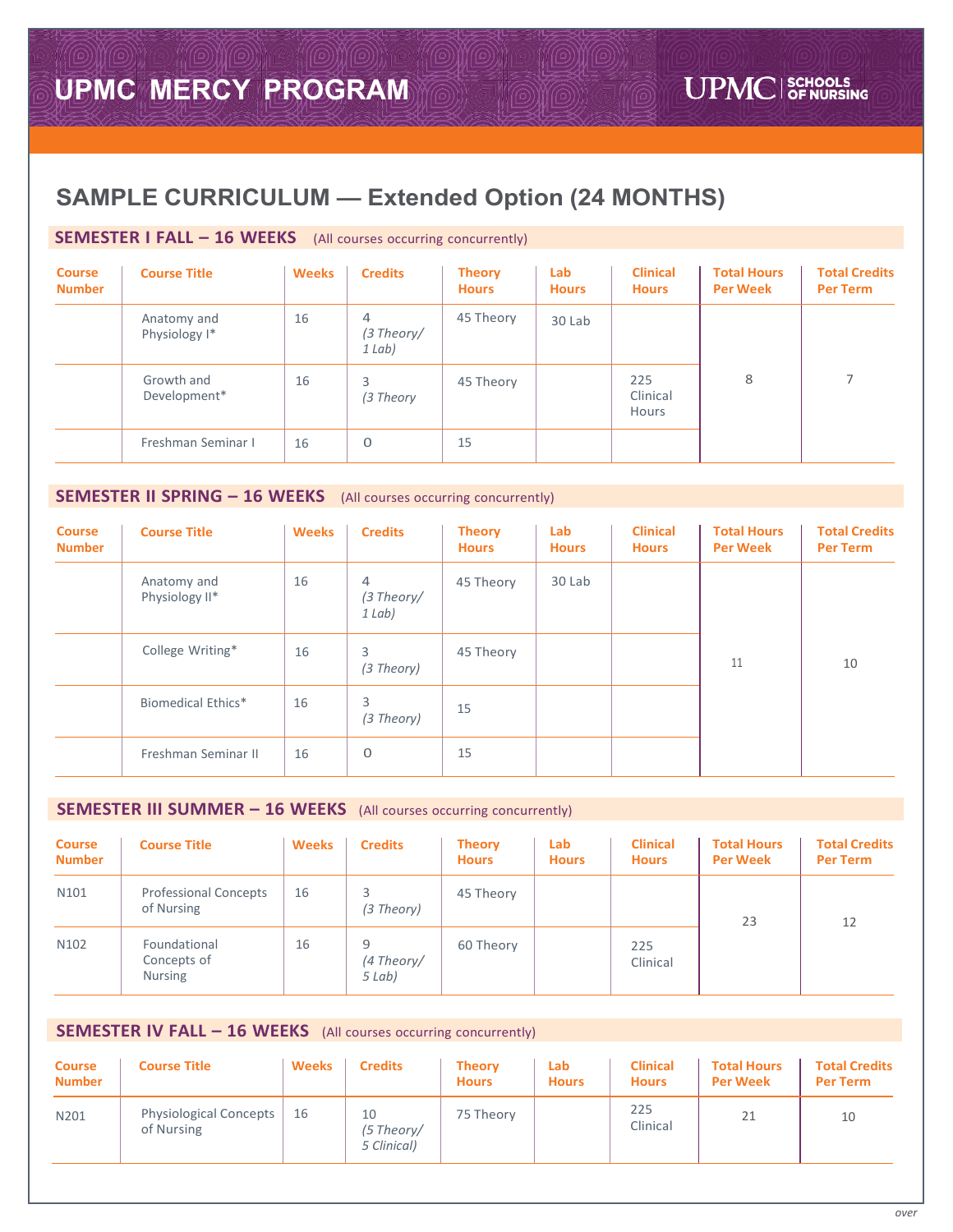# **SAMPLE CURRICULUM — Extended Option (24 MONTHS)**

# **SEMESTER I FALL – 16 WEEKS** (All courses occurring concurrently)

| <b>Course</b><br><b>Number</b> | <b>Course Title</b>                     | <b>Weeks</b> | <b>Credits</b>            | <b>Theory</b><br><b>Hours</b> | Lab<br><b>Hours</b> | <b>Clinical</b><br><b>Hours</b> | <b>Total Hours</b><br><b>Per Week</b> | <b>Total Credits</b><br><b>Per Term</b> |
|--------------------------------|-----------------------------------------|--------------|---------------------------|-------------------------------|---------------------|---------------------------------|---------------------------------------|-----------------------------------------|
|                                | Anatomy and<br>Physiology <sup>1*</sup> | 16           | 4<br>(3 Theory/<br>1 Lab) | 45 Theory                     | 30 Lab              |                                 |                                       |                                         |
|                                | Growth and<br>Development*              | 16           | 3<br>(3 Theory            | 45 Theory                     |                     | 225<br>Clinical<br>Hours        | 8                                     |                                         |
|                                | Freshman Seminar I                      | 16           | 0                         | 15                            |                     |                                 |                                       |                                         |

## **SEMESTER II SPRING – 16 WEEKS** (All courses occurring concurrently)

| <b>Course</b><br><b>Number</b> | <b>Course Title</b>           | <b>Weeks</b> | <b>Credits</b>                             | <b>Theory</b><br><b>Hours</b> | Lab<br><b>Hours</b> | <b>Clinical</b><br><b>Hours</b> | <b>Total Hours</b><br><b>Per Week</b> | <b>Total Credits</b><br><b>Per Term</b> |
|--------------------------------|-------------------------------|--------------|--------------------------------------------|-------------------------------|---------------------|---------------------------------|---------------------------------------|-----------------------------------------|
|                                | Anatomy and<br>Physiology II* | 16           | $\overline{4}$<br>$(3$ Theory/<br>$1$ Lab) | 45 Theory                     | 30 Lab              |                                 |                                       |                                         |
|                                | College Writing*              | 16           | 3<br>(3 Theory)                            | 45 Theory                     |                     |                                 | 11                                    | 10                                      |
|                                | <b>Biomedical Ethics*</b>     | 16           | 3<br>(3 Theory)                            | 15                            |                     |                                 |                                       |                                         |
|                                | Freshman Seminar II           | 16           | $\mathbf 0$                                | 15                            |                     |                                 |                                       |                                         |

### **SEMESTER III SUMMER – 16 WEEKS** (All courses occurring concurrently)

| <b>Course</b><br><b>Number</b> | <b>Course Title</b>                           | <b>Weeks</b> | <b>Credits</b>            | <b>Theory</b><br><b>Hours</b> | Lab<br><b>Hours</b> | <b>Clinical</b><br><b>Hours</b> | <b>Total Hours</b><br><b>Per Week</b> | <b>Total Credits</b><br><b>Per Term</b> |
|--------------------------------|-----------------------------------------------|--------------|---------------------------|-------------------------------|---------------------|---------------------------------|---------------------------------------|-----------------------------------------|
| N <sub>101</sub>               | <b>Professional Concepts</b><br>of Nursing    | 16           | 3<br>(3 Theory)           | 45 Theory                     |                     |                                 | 23                                    | 12                                      |
| N <sub>102</sub>               | Foundational<br>Concepts of<br><b>Nursing</b> | 16           | 9<br>(4 Theory/<br>5 Lab) | 60 Theory                     |                     | 225<br>Clinical                 |                                       |                                         |

# **SEMESTER IV FALL – 16 WEEKS** (All courses occurring concurrently)

| <b>Course</b><br><b>Number</b> | <b>Course Title</b>                         | <b>Weeks</b> | <b>Credits</b>                  | <b>Theory</b><br><b>Hours</b> | Lab<br><b>Hours</b> | <b>Clinical</b><br><b>Hours</b> | <b>Total Hours</b><br><b>Per Week</b> | <b>Total Credits</b><br><b>Per Term</b> |
|--------------------------------|---------------------------------------------|--------------|---------------------------------|-------------------------------|---------------------|---------------------------------|---------------------------------------|-----------------------------------------|
| N201                           | <b>Physiological Concepts</b><br>of Nursing | 16           | 10<br>(5 Theory/<br>5 Clinical) | 75 Theory                     |                     | 225<br>Clinical                 | 21                                    | 10                                      |